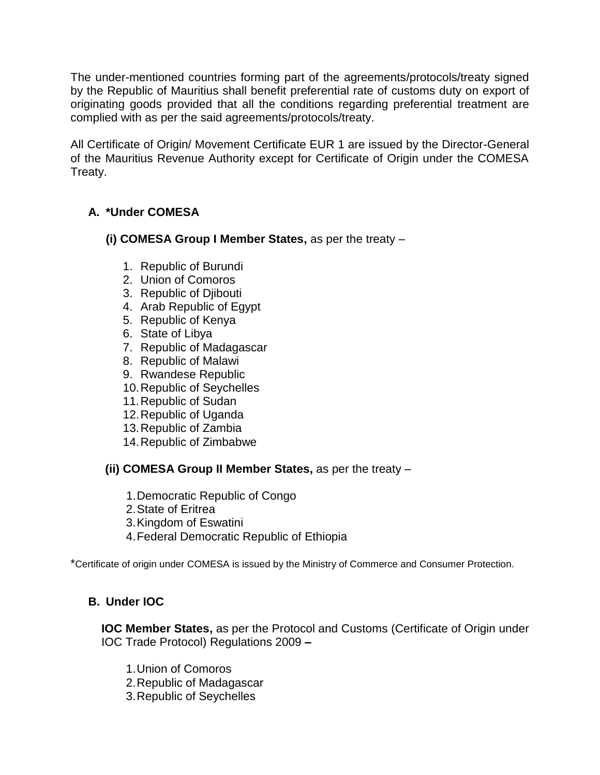The under-mentioned countries forming part of the agreements/protocols/treaty signed by the Republic of Mauritius shall benefit preferential rate of customs duty on export of originating goods provided that all the conditions regarding preferential treatment are complied with as per the said agreements/protocols/treaty.

All Certificate of Origin/ Movement Certificate EUR 1 are issued by the Director-General of the Mauritius Revenue Authority except for Certificate of Origin under the COMESA Treaty.

# **A. \*Under COMESA**

- **(i) COMESA Group I Member States,** as per the treaty
	- 1. Republic of Burundi
	- 2. Union of Comoros
	- 3. Republic of Djibouti
	- 4. Arab Republic of Egypt
	- 5. Republic of Kenya
	- 6. State of Libya
	- 7. Republic of Madagascar
	- 8. Republic of Malawi
	- 9. Rwandese Republic
	- 10.Republic of Seychelles
	- 11.Republic of Sudan
	- 12.Republic of Uganda
	- 13.Republic of Zambia
	- 14.Republic of Zimbabwe

## **(ii) COMESA Group II Member States,** as per the treaty –

- 1.Democratic Republic of Congo
- 2.State of Eritrea
- 3.Kingdom of Eswatini
- 4.Federal Democratic Republic of Ethiopia

\*Certificate of origin under COMESA is issued by the Ministry of Commerce and Consumer Protection.

## **B. Under IOC**

**IOC Member States,** as per the Protocol and Customs (Certificate of Origin under IOC Trade Protocol) Regulations 2009 **–**

- 1.Union of Comoros
- 2.Republic of Madagascar
- 3.Republic of Seychelles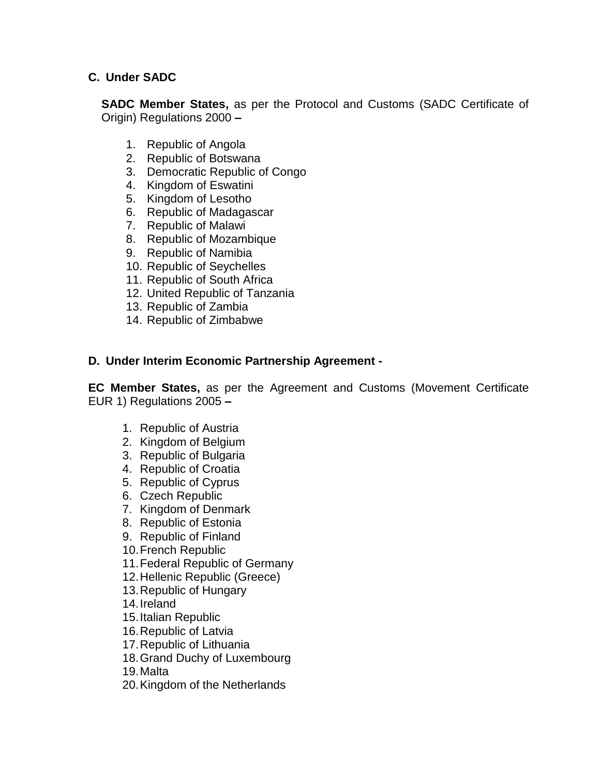#### **C. Under SADC**

**SADC Member States,** as per the Protocol and Customs (SADC Certificate of Origin) Regulations 2000 **–**

- 1. Republic of Angola
- 2. Republic of Botswana
- 3. Democratic Republic of Congo
- 4. Kingdom of Eswatini
- 5. Kingdom of Lesotho
- 6. Republic of Madagascar
- 7. Republic of Malawi
- 8. Republic of Mozambique
- 9. Republic of Namibia
- 10. Republic of Seychelles
- 11. Republic of South Africa
- 12. United Republic of Tanzania
- 13. Republic of Zambia
- 14. Republic of Zimbabwe

#### **D. Under Interim Economic Partnership Agreement -**

**EC Member States,** as per the Agreement and Customs (Movement Certificate EUR 1) Regulations 2005 **–**

- 1. Republic of Austria
- 2. Kingdom of Belgium
- 3. Republic of Bulgaria
- 4. Republic of Croatia
- 5. Republic of Cyprus
- 6. Czech Republic
- 7. Kingdom of Denmark
- 8. Republic of Estonia
- 9. Republic of Finland
- 10.French Republic
- 11.Federal Republic of Germany
- 12.Hellenic Republic (Greece)
- 13.Republic of Hungary
- 14.Ireland
- 15.Italian Republic
- 16.Republic of Latvia
- 17.Republic of Lithuania
- 18.Grand Duchy of Luxembourg

19.Malta

20.Kingdom of the Netherlands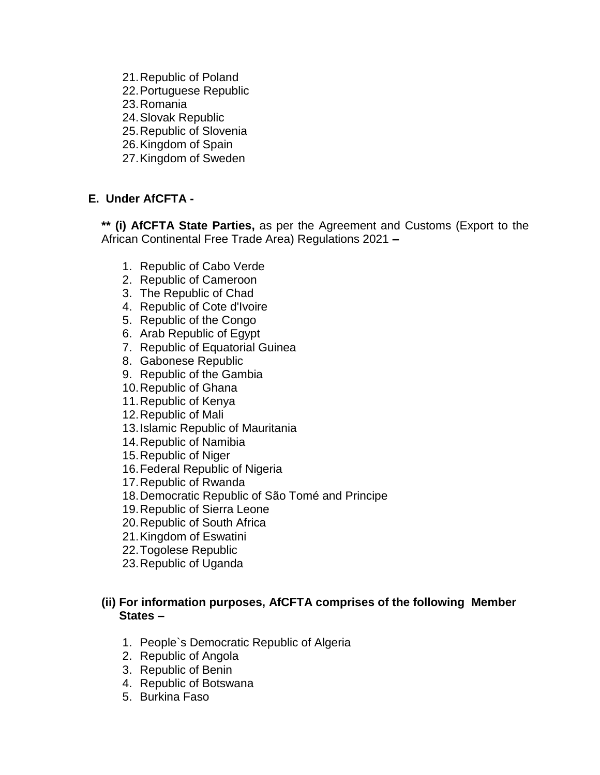21.Republic of Poland 22.Portuguese Republic 23.Romania 24.Slovak Republic 25.Republic of Slovenia 26.Kingdom of Spain 27.Kingdom of Sweden

# **E. Under AfCFTA -**

**\*\* (i) AfCFTA State Parties,** as per the Agreement and Customs (Export to the African Continental Free Trade Area) Regulations 2021 **–**

- 1. Republic of Cabo Verde
- 2. Republic of Cameroon
- 3. The Republic of Chad
- 4. Republic of Cote d'Ivoire
- 5. Republic of the Congo
- 6. Arab Republic of Egypt
- 7. Republic of Equatorial Guinea
- 8. Gabonese Republic
- 9. Republic of the Gambia
- 10.Republic of Ghana
- 11.Republic of Kenya
- 12.Republic of Mali
- 13.Islamic Republic of Mauritania
- 14.Republic of Namibia
- 15.Republic of Niger
- 16.Federal Republic of Nigeria
- 17.Republic of Rwanda
- 18.Democratic Republic of São Tomé and Principe
- 19.Republic of Sierra Leone
- 20.Republic of South Africa
- 21.Kingdom of Eswatini
- 22.Togolese Republic
- 23.Republic of Uganda

#### **(ii) For information purposes, AfCFTA comprises of the following Member States –**

- 1. People`s Democratic Republic of Algeria
- 2. Republic of Angola
- 3. Republic of Benin
- 4. Republic of Botswana
- 5. Burkina Faso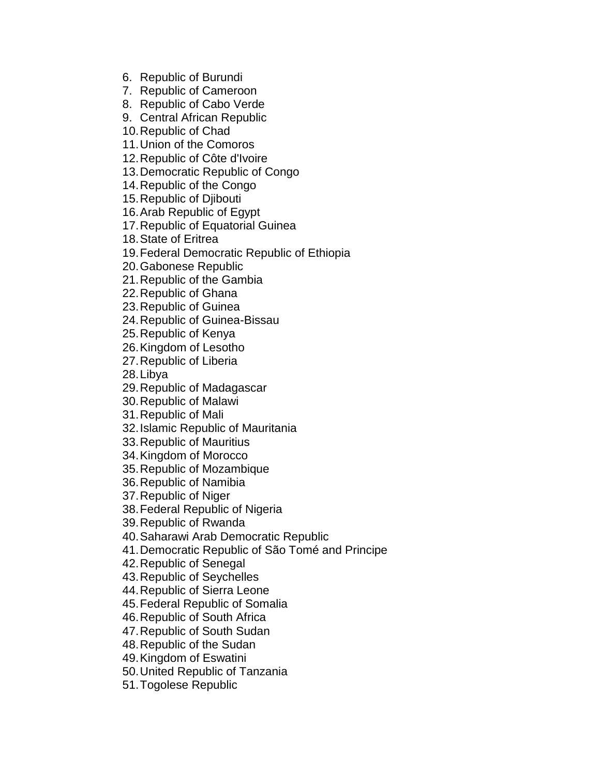6. Republic of Burundi

7. Republic of Cameroon

8. Republic of Cabo Verde

9. Central African Republic

10.Republic of Chad

11.Union of the Comoros

12.Republic of Côte d'Ivoire

13.Democratic Republic of Congo

14.Republic of the Congo

15.Republic of Djibouti

16.Arab Republic of Egypt

17.Republic of Equatorial Guinea

18.State of Eritrea

19.Federal Democratic Republic of Ethiopia

20.Gabonese Republic

21.Republic of the Gambia

22.Republic of Ghana

23.Republic of Guinea

24.Republic of Guinea-Bissau

25.Republic of Kenya

26.Kingdom of Lesotho

27.Republic of Liberia

28.Libya

29.Republic of Madagascar

30.Republic of Malawi

31.Republic of Mali

32.Islamic Republic of Mauritania

33.Republic of Mauritius

34.Kingdom of Morocco

35.Republic of Mozambique

36.Republic of Namibia

37.Republic of Niger

38.Federal Republic of Nigeria

39.Republic of Rwanda

40.Saharawi Arab Democratic Republic

41.Democratic Republic of São Tomé and Principe

42.Republic of Senegal

43.Republic of Seychelles

44.Republic of Sierra Leone

45.Federal Republic of Somalia

46.Republic of South Africa

47.Republic of South Sudan

48.Republic of the Sudan

49.Kingdom of Eswatini

50.United Republic of Tanzania

51.Togolese Republic